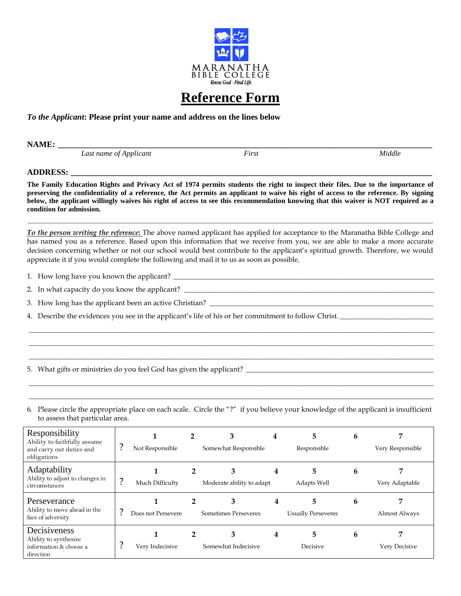

## **Reference Form**

## *To the Applicant***: Please print your name and address on the lines below**

**NAME: \_\_\_\_\_\_\_\_\_\_\_\_\_\_\_\_\_\_\_\_\_\_\_\_\_\_\_\_\_\_\_\_\_\_\_\_\_\_\_\_\_\_\_\_\_\_\_\_\_\_\_\_\_\_\_\_\_\_\_\_\_\_\_\_\_\_\_\_\_\_\_\_\_\_\_\_\_\_\_\_\_\_\_\_\_\_\_\_\_\_**

*Last name of Applicant First Middle*

## **ADDRESS: \_\_\_\_\_\_\_\_\_\_\_\_\_\_\_\_\_\_\_\_\_\_\_\_\_\_\_\_\_\_\_\_\_\_\_\_\_\_\_\_\_\_\_\_\_\_\_\_\_\_\_\_\_\_\_\_\_\_\_\_\_\_\_\_\_\_\_\_\_\_\_\_\_\_\_\_\_\_\_\_\_\_\_\_\_\_\_**

**The Family Education Rights and Privacy Act of 1974 permits students the right to inspect their files. Due to the importance of preserving the confidentiality of a reference, the Act permits an applicant to waive his right of access to the reference. By signing below, the applicant willingly waives his right of access to see this recommendation knowing that this waiver is NOT required as a condition for admission.**

*To the person writing the reference***:** The above named applicant has applied for acceptance to the Maranatha Bible College and has named you as a reference. Based upon this information that we receive from you, we are able to make a more accurate decision concerning whether or not our school would best contribute to the applicant's spiritual growth. Therefore, we would appreciate it if you would complete the following and mail it to us as soon as possible.

\_\_\_\_\_\_\_\_\_\_\_\_\_\_\_\_\_\_\_\_\_\_\_\_\_\_\_\_\_\_\_\_\_\_\_\_\_\_\_\_\_\_\_\_\_\_\_\_\_\_\_\_\_\_\_\_\_\_\_\_\_\_\_\_\_\_\_\_\_\_\_\_\_\_\_\_\_\_\_\_\_\_\_\_\_\_\_\_\_\_\_\_\_\_\_\_\_\_\_\_\_\_\_\_\_\_\_\_\_\_\_\_ \_\_\_\_\_\_\_\_\_\_\_\_\_\_\_\_\_\_\_\_\_\_\_\_\_\_\_\_\_\_\_\_\_\_\_\_\_\_\_\_\_\_\_\_\_\_\_\_\_\_\_\_\_\_\_\_\_\_\_\_\_\_\_\_\_\_\_\_\_\_\_\_\_\_\_\_\_\_\_\_\_\_\_\_\_\_\_\_\_\_\_\_\_\_\_\_\_\_\_\_\_\_\_\_\_\_\_\_\_\_\_\_ \_\_\_\_\_\_\_\_\_\_\_\_\_\_\_\_\_\_\_\_\_\_\_\_\_\_\_\_\_\_\_\_\_\_\_\_\_\_\_\_\_\_\_\_\_\_\_\_\_\_\_\_\_\_\_\_\_\_\_\_\_\_\_\_\_\_\_\_\_\_\_\_\_\_\_\_\_\_\_\_\_\_\_\_\_\_\_\_\_\_\_\_\_\_\_\_\_\_\_\_\_\_\_\_\_\_\_\_\_\_\_\_

\_\_\_\_\_\_\_\_\_\_\_\_\_\_\_\_\_\_\_\_\_\_\_\_\_\_\_\_\_\_\_\_\_\_\_\_\_\_\_\_\_\_\_\_\_\_\_\_\_\_\_\_\_\_\_\_\_\_\_\_\_\_\_\_\_\_\_\_\_\_\_\_\_\_\_\_\_\_\_\_\_\_\_\_\_\_\_\_\_\_\_\_\_\_\_\_\_\_\_\_\_\_\_\_\_\_\_\_\_\_\_\_\_\_\_\_\_\_\_\_\_\_\_\_\_\_\_\_\_\_\_\_

1. How long have you known the applicant? \_\_\_\_\_\_\_\_\_\_\_\_\_\_\_\_\_\_\_\_\_\_\_\_\_\_\_\_\_\_\_\_\_\_\_\_\_\_\_\_\_\_\_\_\_\_\_\_\_\_\_\_\_\_\_\_\_\_\_\_\_\_\_\_\_\_\_\_\_\_\_\_

2. In what capacity do you know the applicant? \_\_\_\_\_\_\_\_\_\_\_\_\_\_\_\_\_\_\_\_\_\_\_\_\_\_\_\_\_\_\_\_\_\_\_\_\_\_\_\_\_\_\_\_\_\_\_\_\_\_\_\_\_\_\_\_\_\_\_\_\_\_\_\_\_\_\_\_\_

- 3. How long has the applicant been an active Christian? \_\_\_\_\_\_\_\_\_\_\_\_\_\_\_\_\_\_\_\_\_\_\_\_
- 4. Describe the evidences you see in the applicant's life of his or her commitment to follow Christ.

5. What gifts or ministries do you feel God has given the applicant? \_\_\_\_\_\_\_\_\_\_\_\_\_\_\_\_\_\_\_\_\_\_\_\_\_\_\_\_\_\_\_\_\_\_\_\_\_\_\_\_\_\_\_\_\_\_\_\_\_\_\_\_

6. Please circle the appropriate place on each scale. Circle the "?" if you believe your knowledge of the applicant is insufficient to assess that particular area.

\_\_\_\_\_\_\_\_\_\_\_\_\_\_\_\_\_\_\_\_\_\_\_\_\_\_\_\_\_\_\_\_\_\_\_\_\_\_\_\_\_\_\_\_\_\_\_\_\_\_\_\_\_\_\_\_\_\_\_\_\_\_\_\_\_\_\_\_\_\_\_\_\_\_\_\_\_\_\_\_\_\_\_\_\_\_\_\_\_\_\_\_\_\_\_\_\_\_\_\_\_\_\_\_\_\_\_\_\_\_\_\_ \_\_\_\_\_\_\_\_\_\_\_\_\_\_\_\_\_\_\_\_\_\_\_\_\_\_\_\_\_\_\_\_\_\_\_\_\_\_\_\_\_\_\_\_\_\_\_\_\_\_\_\_\_\_\_\_\_\_\_\_\_\_\_\_\_\_\_\_\_\_\_\_\_\_\_\_\_\_\_\_\_\_\_\_\_\_\_\_\_\_\_\_\_\_\_\_\_\_\_\_\_\_\_\_\_\_\_\_\_\_\_\_

| Responsibility<br>Ability to faithfully assume<br>and carry out duties and<br>obligations | Not Responsible    | 3<br>Somewhat Responsible      | 4 | 5.<br>Responsible               | 6 | Very Responsible   |
|-------------------------------------------------------------------------------------------|--------------------|--------------------------------|---|---------------------------------|---|--------------------|
| Adaptability<br>Ability to adjust to changes in<br>circumstances                          | Much Difficulty    | З<br>Moderate ability to adapt |   | 5<br>Adapts Well                | b | Very Adaptable     |
| Perseverance<br>Ability to move ahead in the<br>face of adversity                         | Does not Persevere | 3<br>Sometimes Perseveres      |   | 5.<br><b>Usually Perseveres</b> | b | Almost Always      |
| Decisiveness<br>Ability to synthesize<br>information & choose a<br>direction              | Very Indecisive    | З<br>Somewhat Indecisive       |   | 5.<br>Decisive                  | b | 7<br>Very Decisive |